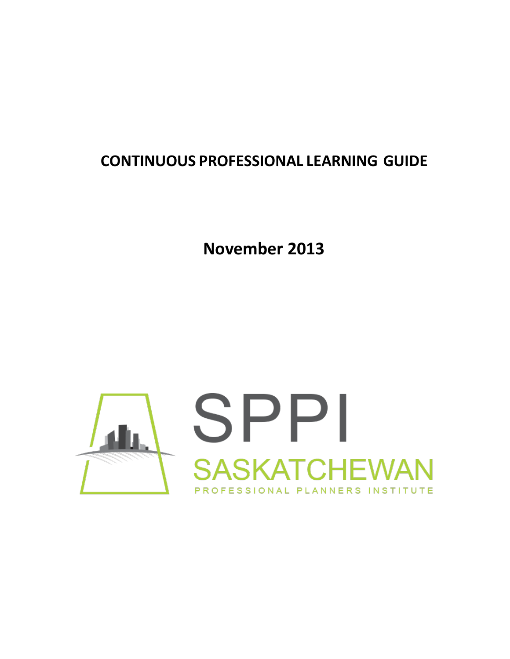# **CONTINUOUS PROFESSIONAL LEARNING GUIDE**

**November 2013**

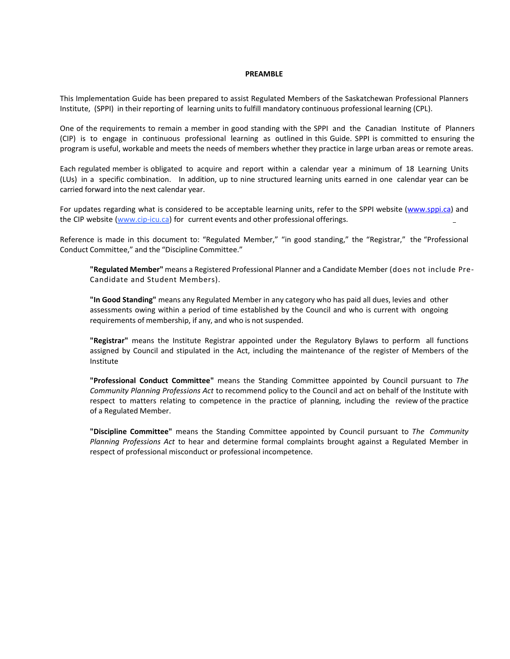#### **PREAMBLE**

This Implementation Guide has been prepared to assist Regulated Members of the Saskatchewan Professional Planners Institute, (SPPI) in their reporting of learning units to fulfill mandatory continuous professional learning (CPL).

One of the requirements to remain a member in good standing with the SPPI and the Canadian Institute of Planners (CIP) is to engage in continuous professional learning as outlined in this Guide. SPPI is committed to ensuring the program is useful, workable and meets the needs of members whether they practice in large urban areas or remote areas.

Each regulated member is obligated to acquire and report within a calendar year a minimum of 18 Learning Units (LUs) in a specific combination. In addition, up to nine structured learning units earned in one calendar year can be carried forward into the next calendar year.

For updates regarding what is considered to be acceptable learning units, refer to the SPPI website (www.sppi.ca) and the CIP website (www.cip-icu.ca) for current events and other professional offerings.

Reference is made in this document to: "Regulated Member," "in good standing," the "Registrar," the "Professional Conduct Committee," and the "Discipline Committee."

**"Regulated Member"** means a Registered Professional Planner and a Candidate Member (does not include Pre-Candidate and Student Members).

**"In Good Standing"** means any Regulated Member in any category who has paid all dues, levies and other assessments owing within a period of time established by the Council and who is current with ongoing requirements of membership, if any, and who is not suspended.

**"Registrar"** means the Institute Registrar appointed under the Regulatory Bylaws to perform all functions assigned by Council and stipulated in the Act, including the maintenance of the register of Members of the Institute

**"Professional Conduct Committee"** means the Standing Committee appointed by Council pursuant to *The Community Planning Professions Act* to recommend policy to the Council and act on behalf of the Institute with respect to matters relating to competence in the practice of planning, including the review of the practice of a Regulated Member.

**"Discipline Committee"** means the Standing Committee appointed by Council pursuant to *The Community Planning Professions Act* to hear and determine formal complaints brought against a Regulated Member in respect of professional misconduct or professional incompetence.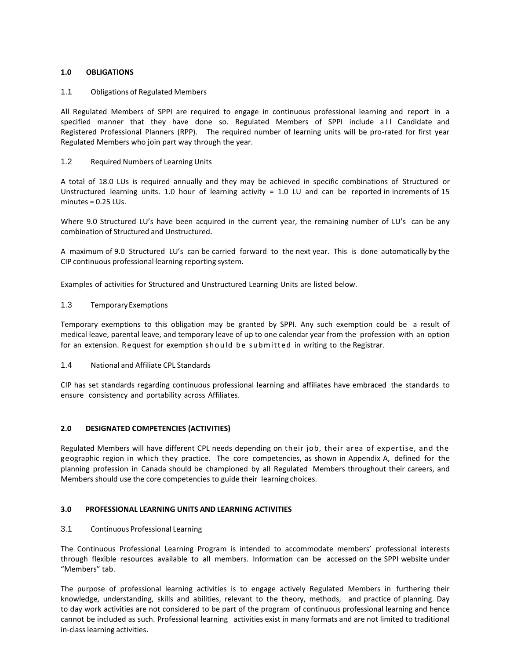# **1.0 OBLIGATIONS**

## 1.1 Obligations of Regulated Members

All Regulated Members of SPPI are required to engage in continuous professional learning and report in a specified manner that they have done so. Regulated Members of SPPI include all Candidate and Registered Professional Planners (RPP). The required number of learning units will be pro-rated for first year Regulated Members who join part way through the year.

## 1.2 Required Numbers of Learning Units

A total of 18.0 LUs is required annually and they may be achieved in specific combinations of Structured or Unstructured learning units. 1.0 hour of learning activity = 1.0 LU and can be reported in increments of 15 minutes = 0.25 LUs.

Where 9.0 Structured LU's have been acquired in the current year, the remaining number of LU's can be any combination of Structured and Unstructured.

A maximum of 9.0 Structured LU's can be carried forward to the next year. This is done automatically by the CIP continuous professional learning reporting system.

Examples of activities for Structured and Unstructured Learning Units are listed below.

#### 1.3 TemporaryExemptions

Temporary exemptions to this obligation may be granted by SPPI. Any such exemption could be a result of medical leave, parental leave, and temporary leave of up to one calendar year from the profession with an option for an extension. Request for exemption should be submitted in writing to the Registrar.

#### 1.4 National and Affiliate CPL Standards

CIP has set standards regarding continuous professional learning and affiliates have embraced the standards to ensure consistency and portability across Affiliates.

# **2.0 DESIGNATED COMPETENCIES (ACTIVITIES)**

Regulated Members will have different CPL needs depending on their job, their area of expertise, and the geographic region in which they practice. The core competencies, as shown in Appendix A, defined for the planning profession in Canada should be championed by all Regulated Members throughout their careers, and Members should use the core competencies to guide their learning choices.

#### **3.0 PROFESSIONAL LEARNING UNITS AND LEARNING ACTIVITIES**

# 3.1 Continuous Professional Learning

The Continuous Professional Learning Program is intended to accommodate members' professional interests through flexible resources available to all members. Information can be accessed on the SPPI website under "Members" tab.

The purpose of professional learning activities is to engage actively Regulated Members in furthering their knowledge, understanding, skills and abilities, relevant to the theory, methods, and practice of planning. Day to day work activities are not considered to be part of the program of continuous professional learning and hence cannot be included as such. Professional learning activities exist in many formats and are not limited to traditional in-class learning activities.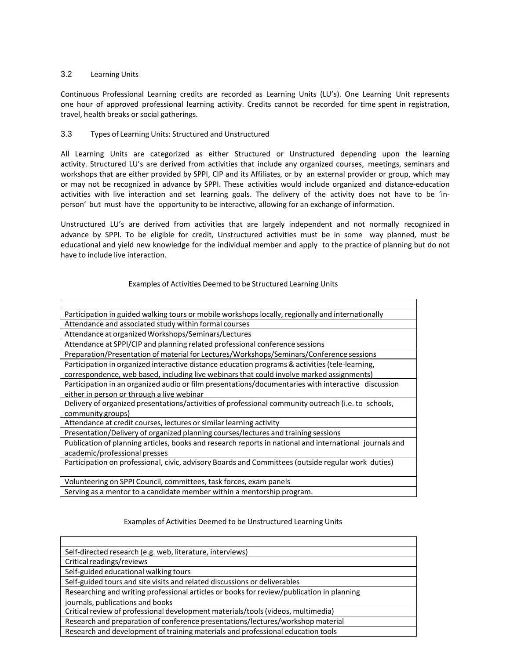# 3.2 Learning Units

Continuous Professional Learning credits are recorded as Learning Units (LU's). One Learning Unit represents one hour of approved professional learning activity. Credits cannot be recorded for time spent in registration, travel, health breaks or social gatherings.

## 3.3 Types of Learning Units: Structured and Unstructured

All Learning Units are categorized as either Structured or Unstructured depending upon the learning activity. Structured LU's are derived from activities that include any organized courses, meetings, seminars and workshops that are either provided by SPPI, CIP and its Affiliates, or by an external provider or group, which may or may not be recognized in advance by SPPI. These activities would include organized and distance-education activities with live interaction and set learning goals. The delivery of the activity does not have to be 'inperson' but must have the opportunity to be interactive, allowing for an exchange of information.

Unstructured LU's are derived from activities that are largely independent and not normally recognized in advance by SPPI. To be eligible for credit, Unstructured activities must be in some way planned, must be educational and yield new knowledge for the individual member and apply to the practice of planning but do not have to include live interaction.

#### Examples of Activities Deemed to be Structured Learning Units

| Participation in guided walking tours or mobile workshops locally, regionally and internationally       |
|---------------------------------------------------------------------------------------------------------|
| Attendance and associated study within formal courses                                                   |
| Attendance at organized Workshops/Seminars/Lectures                                                     |
| Attendance at SPPI/CIP and planning related professional conference sessions                            |
| Preparation/Presentation of material for Lectures/Workshops/Seminars/Conference sessions                |
| Participation in organized interactive distance education programs & activities (tele-learning,         |
| correspondence, web based, including live webinars that could involve marked assignments)               |
| Participation in an organized audio or film presentations/documentaries with interactive discussion     |
| either in person or through a live webinar                                                              |
| Delivery of organized presentations/activities of professional community outreach (i.e. to schools,     |
| community groups)                                                                                       |
| Attendance at credit courses, lectures or similar learning activity                                     |
| Presentation/Delivery of organized planning courses/lectures and training sessions                      |
| Publication of planning articles, books and research reports in national and international journals and |
| academic/professional presses                                                                           |
| Participation on professional, civic, advisory Boards and Committees (outside regular work duties)      |
|                                                                                                         |
| Volunteering on SPPI Council, committees, task forces, exam panels                                      |
| Serving as a mentor to a candidate member within a mentorship program.                                  |

#### Examples of Activities Deemed to be Unstructured Learning Units

| Self-directed research (e.g. web, literature, interviews)                                 |  |
|-------------------------------------------------------------------------------------------|--|
| Critical readings/reviews                                                                 |  |
| Self-guided educational walking tours                                                     |  |
| Self-guided tours and site visits and related discussions or deliverables                 |  |
| Researching and writing professional articles or books for review/publication in planning |  |
| journals, publications and books                                                          |  |
| Critical review of professional development materials/tools (videos, multimedia)          |  |
| Research and preparation of conference presentations/lectures/workshop material           |  |
| Research and development of training materials and professional education tools           |  |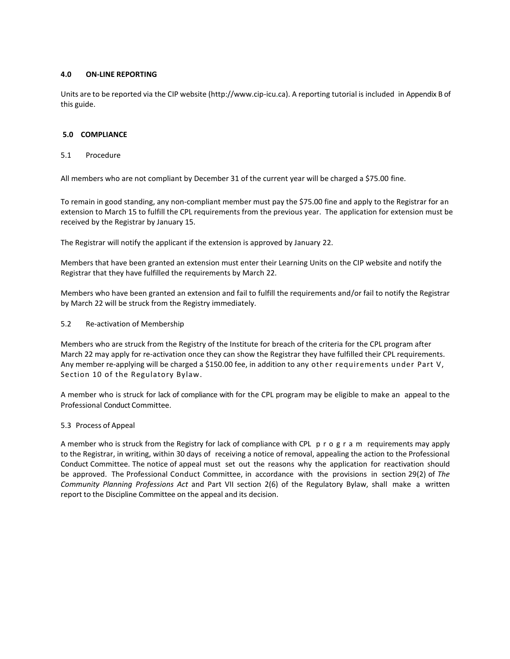## **4.0 ON-LINE REPORTING**

Units are to be reported via the CIP website (http://www.cip-icu.ca). A reporting tutorial is included in Appendix B of this guide.

#### **5.0 COMPLIANCE**

#### 5.1 Procedure

All members who are not compliant by December 31 of the current year will be charged a \$75.00 fine.

To remain in good standing, any non-compliant member must pay the \$75.00 fine and apply to the Registrar for an extension to March 15 to fulfill the CPL requirements from the previous year. The application for extension must be received by the Registrar by January 15.

The Registrar will notify the applicant if the extension is approved by January 22.

Members that have been granted an extension must enter their Learning Units on the CIP website and notify the Registrar that they have fulfilled the requirements by March 22.

Members who have been granted an extension and fail to fulfill the requirements and/or fail to notify the Registrar by March 22 will be struck from the Registry immediately.

#### 5.2 Re-activation of Membership

Members who are struck from the Registry of the Institute for breach of the criteria for the CPL program after March 22 may apply for re-activation once they can show the Registrar they have fulfilled their CPL requirements. Any member re-applying will be charged a \$150.00 fee, in addition to any other requirements under Part V, Section 10 of the Regulatory Bylaw.

A member who is struck for lack of compliance with for the CPL program may be eligible to make an appeal to the Professional Conduct Committee.

# 5.3 Process of Appeal

A member who is struck from the Registry for lack of compliance with CPL p r o g r a m requirements may apply to the Registrar, in writing, within 30 days of receiving a notice of removal, appealing the action to the Professional Conduct Committee. The notice of appeal must set out the reasons why the application for reactivation should be approved. The Professional Conduct Committee, in accordance with the provisions in section 29(2) of *The Community Planning Professions Act* and Part VII section 2(6) of the Regulatory Bylaw, shall make a written report to the Discipline Committee on the appeal and its decision.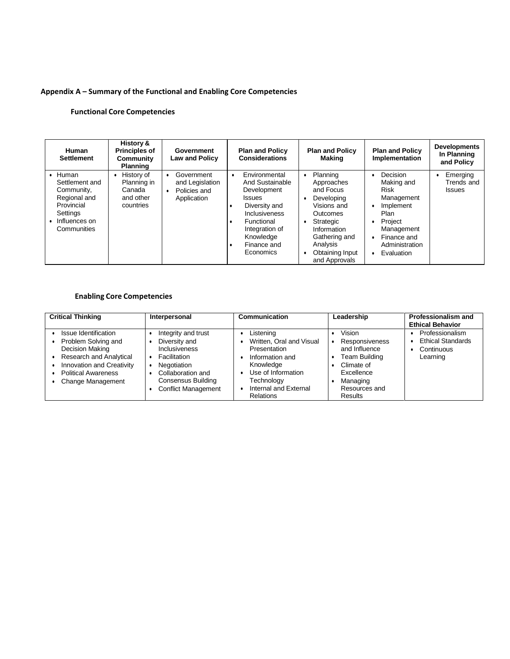# **Appendix A – Summary of the Functional and Enabling Core Competencies**

# **Functional Core Competencies**

| <b>Human</b><br><b>Settlement</b>                                                                               | History &<br><b>Principles of</b><br>Community<br><b>Planning</b> | Government<br><b>Law and Policy</b>                                       | <b>Plan and Policy</b><br><b>Considerations</b>                                                                                                                                  | <b>Plan and Policy</b><br>Making                                                                                                                                                                                     | <b>Plan and Policy</b><br>Implementation                                                                                                         | <b>Developments</b><br>In Planning<br>and Policy |
|-----------------------------------------------------------------------------------------------------------------|-------------------------------------------------------------------|---------------------------------------------------------------------------|----------------------------------------------------------------------------------------------------------------------------------------------------------------------------------|----------------------------------------------------------------------------------------------------------------------------------------------------------------------------------------------------------------------|--------------------------------------------------------------------------------------------------------------------------------------------------|--------------------------------------------------|
| Human<br>Settlement and<br>Community,<br>Regional and<br>Provincial<br>Settings<br>Influences on<br>Communities | History of<br>Planning in<br>Canada<br>and other<br>countries     | Government<br>$\bullet$<br>and Legislation<br>Policies and<br>Application | Environmental<br>٠<br>And Sustainable<br>Development<br><b>Issues</b><br>Diversity and<br>Inclusiveness<br>Functional<br>Integration of<br>Knowledge<br>Finance and<br>Economics | Planning<br>٠<br>Approaches<br>and Focus<br>Developing<br>$\bullet$<br>Visions and<br><b>Outcomes</b><br>Strategic<br>٠<br>Information<br>Gathering and<br>Analysis<br>Obtaining Input<br>$\bullet$<br>and Approvals | Decision<br>Making and<br><b>Risk</b><br>Management<br>Implement<br>Plan<br>Project<br>Management<br>Finance and<br>Administration<br>Evaluation | Emerging<br>Trends and<br><b>Issues</b>          |

# **Enabling Core Competencies**

| <b>Critical Thinking</b>                                                                                                                                                         | Interpersonal                                                                                                                                                 | Communication                                                                                                                                                          | Leadership                                                                                                                                   | Professionalism and<br><b>Ethical Behavior</b>                        |
|----------------------------------------------------------------------------------------------------------------------------------------------------------------------------------|---------------------------------------------------------------------------------------------------------------------------------------------------------------|------------------------------------------------------------------------------------------------------------------------------------------------------------------------|----------------------------------------------------------------------------------------------------------------------------------------------|-----------------------------------------------------------------------|
| Issue Identification<br>Problem Solving and<br>Decision Making<br>Research and Analytical<br>Innovation and Creativity<br><b>Political Awareness</b><br><b>Change Management</b> | Integrity and trust<br>Diversity and<br>Inclusiveness<br>Facilitation<br>Negotiation<br>Collaboration and<br>Consensus Building<br><b>Conflict Management</b> | Listening<br>Written, Oral and Visual<br>Presentation<br>Information and<br>Knowledge<br>Use of Information<br>Technology<br>Internal and External<br><b>Relations</b> | Vision<br><b>Responsiveness</b><br>and Influence<br>Team Building<br>Climate of<br>Excellence<br>Managing<br>Resources and<br><b>Results</b> | Professionalism<br><b>Ethical Standards</b><br>Continuous<br>Learning |